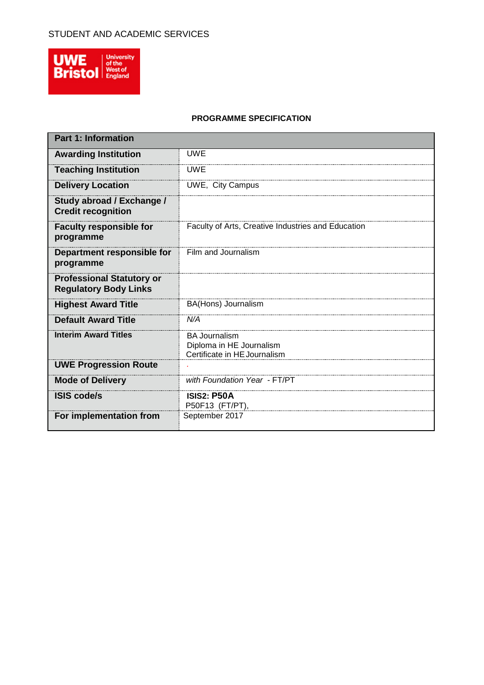

## **PROGRAMME SPECIFICATION**

| <b>Part 1: Information</b>                                       |                                                                                  |
|------------------------------------------------------------------|----------------------------------------------------------------------------------|
| <b>Awarding Institution</b>                                      | <b>UWE</b>                                                                       |
| <b>Teaching Institution</b>                                      | <b>UWE</b>                                                                       |
| <b>Delivery Location</b>                                         | UWE, City Campus                                                                 |
| Study abroad / Exchange /<br><b>Credit recognition</b>           |                                                                                  |
| <b>Faculty responsible for</b><br>programme                      | Faculty of Arts, Creative Industries and Education                               |
| Department responsible for<br>programme                          | Film and Journalism                                                              |
| <b>Professional Statutory or</b><br><b>Regulatory Body Links</b> |                                                                                  |
| <b>Highest Award Title</b>                                       | BA(Hons) Journalism                                                              |
| <b>Default Award Title</b>                                       | N/A                                                                              |
| <b>Interim Award Titles</b>                                      | <b>BA Journalism</b><br>Diploma in HE Journalism<br>Certificate in HE Journalism |
| <b>UWE Progression Route</b>                                     |                                                                                  |
| <b>Mode of Delivery</b>                                          | with Foundation Year - FT/PT                                                     |
| <b>ISIS code/s</b>                                               | <b>ISIS2: P50A</b><br>P50F13 (FT/PT),                                            |
| For implementation from                                          | September 2017                                                                   |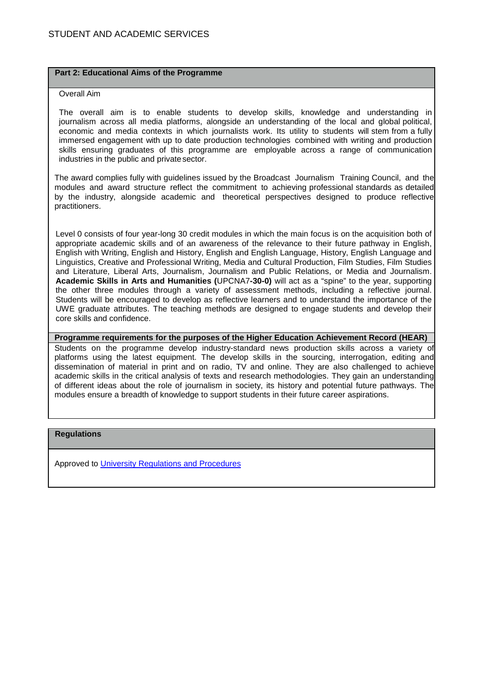#### **Part 2: Educational Aims of the Programme**

#### Overall Aim

The overall aim is to enable students to develop skills, knowledge and understanding in journalism across all media platforms, alongside an understanding of the local and global political, economic and media contexts in which journalists work. Its utility to students will stem from a fully immersed engagement with up to date production technologies combined with writing and production skills ensuring graduates of this programme are employable across a range of communication industries in the public and private sector.

The award complies fully with guidelines issued by the Broadcast Journalism Training Council, and the modules and award structure reflect the commitment to achieving professional standards as detailed by the industry, alongside academic and theoretical perspectives designed to produce reflective practitioners.

Level 0 consists of four year-long 30 credit modules in which the main focus is on the acquisition both of appropriate academic skills and of an awareness of the relevance to their future pathway in English, English with Writing, English and History, English and English Language, History, English Language and Linguistics, Creative and Professional Writing, Media and Cultural Production, Film Studies, Film Studies and Literature, Liberal Arts, Journalism, Journalism and Public Relations, or Media and Journalism. **Academic Skills in Arts and Humanities (**UPCNA7**-30-0)** will act as a "spine" to the year, supporting the other three modules through a variety of assessment methods, including a reflective journal. Students will be encouraged to develop as reflective learners and to understand the importance of the UWE graduate attributes. The teaching methods are designed to engage students and develop their core skills and confidence.

**Programme requirements for the purposes of the Higher Education Achievement Record (HEAR)** Students on the programme develop industry-standard news production skills across a variety of

platforms using the latest equipment. The develop skills in the sourcing, interrogation, editing and dissemination of material in print and on radio, TV and online. They are also challenged to achieve academic skills in the critical analysis of texts and research methodologies. They gain an understanding of different ideas about the role of journalism in society, its history and potential future pathways. The modules ensure a breadth of knowledge to support students in their future career aspirations.

#### **Regulations**

Approved to [University Regulations and Procedures](http://www1.uwe.ac.uk/students/academicadvice/assessments/regulationsandprocedures.aspx)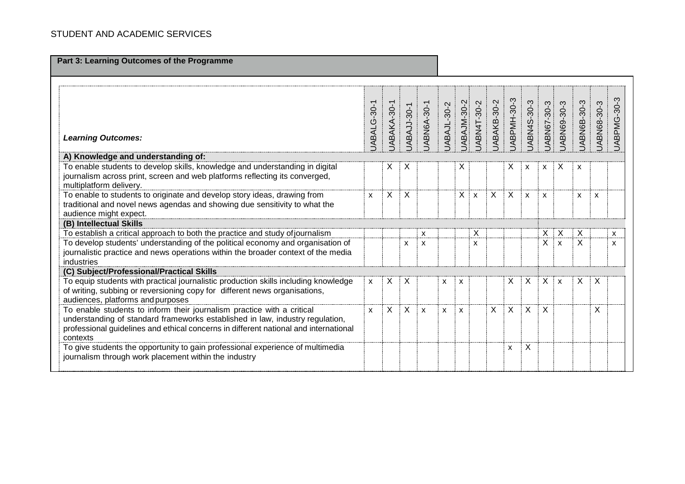**Part 3: Learning Outcomes of the Programme**

|                                                                                                                                                                                                                                                             | JABALG-30-1  | JABAKA-30-1 | JABAJJ-30-1 | JABN6A-30-1 | JABAJL-30-2 | JABAJM-30-2 | JABN4T-30-2               | JABAKB-30-2 | JABPMH-30-3 | JABN4S-30-3  | JABN67-30-3  | JABN69-30-3               | JABN6B-30-3               | JABN68-30-3  | JABPMG-30-3 |
|-------------------------------------------------------------------------------------------------------------------------------------------------------------------------------------------------------------------------------------------------------------|--------------|-------------|-------------|-------------|-------------|-------------|---------------------------|-------------|-------------|--------------|--------------|---------------------------|---------------------------|--------------|-------------|
| <b>Learning Outcomes:</b>                                                                                                                                                                                                                                   |              |             |             |             |             |             |                           |             |             |              |              |                           |                           |              |             |
| A) Knowledge and understanding of:                                                                                                                                                                                                                          |              |             |             |             |             |             |                           |             |             |              |              |                           |                           |              |             |
| To enable students to develop skills, knowledge and understanding in digital<br>journalism across print, screen and web platforms reflecting its converged,<br>multiplatform delivery.                                                                      |              | X           | X           |             |             | Х           |                           |             | Х           | X            | X            | X                         | $\boldsymbol{\mathsf{x}}$ |              |             |
| To enable to students to originate and develop story ideas, drawing from<br>traditional and novel news agendas and showing due sensitivity to what the<br>audience might expect.                                                                            |              |             |             |             |             | X           | $\boldsymbol{\mathsf{x}}$ | X           | X           | $\mathsf{x}$ | $\mathsf{x}$ |                           | X                         | $\mathsf{x}$ |             |
| (B) Intellectual Skills                                                                                                                                                                                                                                     |              |             |             |             |             |             |                           |             |             |              |              |                           |                           |              |             |
| To establish a critical approach to both the practice and study of journalism                                                                                                                                                                               |              |             |             | X           |             |             | Χ                         |             |             |              | Χ            | X                         | X                         |              | X           |
| To develop students' understanding of the political economy and organisation of<br>journalistic practice and news operations within the broader context of the media<br>industries                                                                          |              |             | X           | X           |             |             | X                         |             |             |              | X            | $\boldsymbol{\mathsf{x}}$ | X                         |              | X           |
| (C) Subject/Professional/Practical Skills                                                                                                                                                                                                                   |              |             |             |             |             |             |                           |             |             |              |              |                           |                           |              |             |
| To equip students with practical journalistic production skills including knowledge<br>of writing, subbing or reversioning copy for different news organisations,<br>audiences, platforms and purposes                                                      | $\mathsf{x}$ | X           | X           |             | X           | X           |                           |             | Х           | X            | X            | $\boldsymbol{\mathsf{x}}$ | X                         | Х            |             |
| To enable students to inform their journalism practice with a critical<br>understanding of standard frameworks established in law, industry regulation,<br>professional guidelines and ethical concerns in different national and international<br>contexts | $\mathbf{x}$ | $\sf X$     | X           | X           | X           | X           |                           | $\times$    | X           | $\mathsf{X}$ | X            |                           |                           | X            |             |
| To give students the opportunity to gain professional experience of multimedia<br>journalism through work placement within the industry                                                                                                                     |              |             |             |             |             |             |                           |             | X           | X            |              |                           |                           |              |             |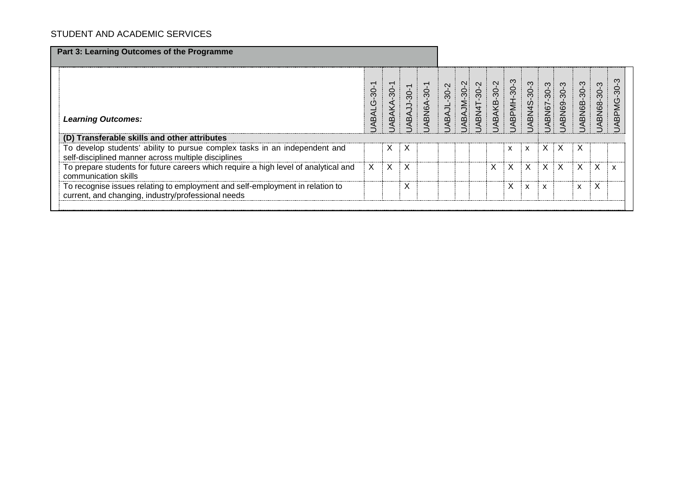| Part 3: Learning Outcomes of the Programme                                                                                          |                                        |                                                    |            |             |            |                   |            |             |                           |                           |            |            |             |             |                       |
|-------------------------------------------------------------------------------------------------------------------------------------|----------------------------------------|----------------------------------------------------|------------|-------------|------------|-------------------|------------|-------------|---------------------------|---------------------------|------------|------------|-------------|-------------|-----------------------|
| <b>Learning Outcomes:</b>                                                                                                           | $\overline{\phantom{0}}$<br>JABALG-30- | $\overline{\phantom{0}}$<br>$-30-$<br><b>ABAKA</b> | ABAJJ-30-1 | JABN6A-30-1 | ABAJL-30-2 | <b>ABAJM-30-2</b> | ABN4T-30-2 | JABAKB-30-2 | ABPMH-30-3                | ABN4S-30-3                | ABN67-30-3 | ABN69-30-3 | JABN6B-30-3 | JABN68-30-3 | က<br>$30 -$<br>ABPMG- |
| (D) Transferable skills and other attributes                                                                                        |                                        |                                                    |            |             |            |                   |            |             |                           |                           |            |            |             |             |                       |
| To develop students' ability to pursue complex tasks in an independent and<br>self-disciplined manner across multiple disciplines   |                                        | X                                                  | X          |             |            |                   |            |             | $\boldsymbol{\mathsf{x}}$ | $\boldsymbol{\mathsf{x}}$ | X          | X          | X           |             |                       |
| To prepare students for future careers which require a high level of analytical and<br>communication skills                         |                                        | X                                                  | X          |             |            |                   |            | X           | X                         | X                         | X          | X          | X           | Χ           |                       |
| To recognise issues relating to employment and self-employment in relation to<br>current, and changing, industry/professional needs |                                        |                                                    | X          |             |            |                   |            |             | X                         | $\mathsf{x}$              | X          |            | X           | X           |                       |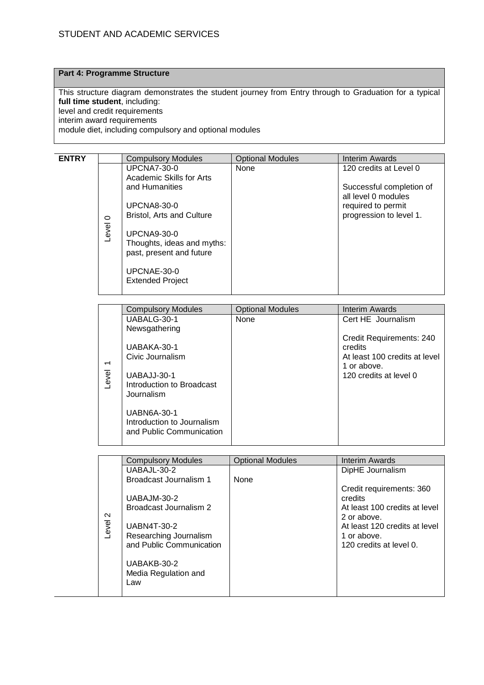### **Part 4: Programme Structure**

 $\overline{a}$ 

This structure diagram demonstrates the student journey from Entry through to Graduation for a typical **full time student**, including: level and credit requirements interim award requirements

module diet, including compulsory and optional modules

| <b>ENTRY</b> |         | <b>Compulsory Modules</b>                              | <b>Optional Modules</b> | Interim Awards                                  |
|--------------|---------|--------------------------------------------------------|-------------------------|-------------------------------------------------|
|              |         | <b>UPCNA7-30-0</b><br>Academic Skills for Arts         | None                    | 120 credits at Level 0                          |
|              |         | and Humanities                                         |                         | Successful completion of<br>all level 0 modules |
|              |         | <b>UPCNA8-30-0</b><br><b>Bristol, Arts and Culture</b> |                         | required to permit<br>progression to level 1.   |
|              | $\circ$ |                                                        |                         |                                                 |
|              | Level   | <b>UPCNA9-30-0</b><br>Thoughts, ideas and myths:       |                         |                                                 |
|              |         | past, present and future                               |                         |                                                 |
|              |         | UPCNAE-30-0<br><b>Extended Project</b>                 |                         |                                                 |
|              |         |                                                        |                         |                                                 |

|                                  | <b>Compulsory Modules</b>                                                                                                                                                 | <b>Optional Modules</b> | Interim Awards                                                                                                |
|----------------------------------|---------------------------------------------------------------------------------------------------------------------------------------------------------------------------|-------------------------|---------------------------------------------------------------------------------------------------------------|
|                                  | UABALG-30-1                                                                                                                                                               | None                    | Cert HE Journalism                                                                                            |
|                                  | Newsgathering                                                                                                                                                             |                         |                                                                                                               |
| $\overline{\phantom{0}}$<br>evel | UABAKA-30-1<br>Civic Journalism<br>UABAJJ-30-1<br>Introduction to Broadcast<br>Journalism<br><b>UABN6A-30-1</b><br>Introduction to Journalism<br>and Public Communication |                         | Credit Requirements: 240<br>credits<br>At least 100 credits at level<br>1 or above.<br>120 credits at level 0 |

|                 | <b>Compulsory Modules</b>                                                                                                                                       | <b>Optional Modules</b> | Interim Awards                                                                                                                                                 |
|-----------------|-----------------------------------------------------------------------------------------------------------------------------------------------------------------|-------------------------|----------------------------------------------------------------------------------------------------------------------------------------------------------------|
|                 | UABAJL-30-2                                                                                                                                                     |                         | DipHE Journalism                                                                                                                                               |
|                 | Broadcast Journalism 1                                                                                                                                          | <b>None</b>             |                                                                                                                                                                |
| $\sim$<br>Level | UABAJM-30-2<br>Broadcast Journalism 2<br><b>UABN4T-30-2</b><br>Researching Journalism<br>and Public Communication<br>UABAKB-30-2<br>Media Regulation and<br>Law |                         | Credit requirements: 360<br>credits<br>At least 100 credits at level<br>2 or above.<br>At least 120 credits at level<br>1 or above.<br>120 credits at level 0. |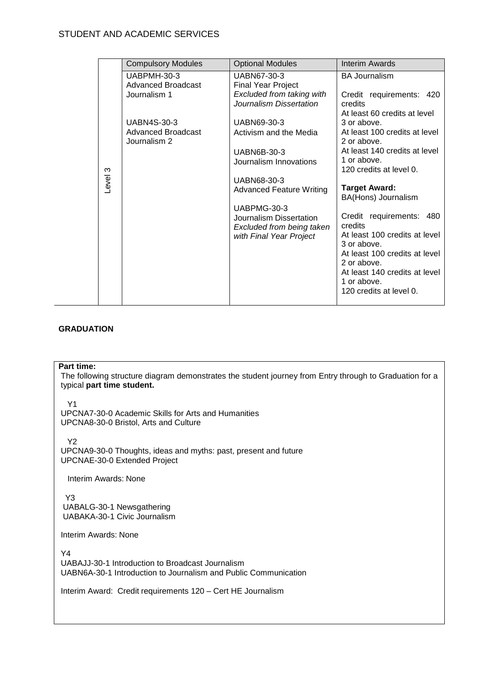|              | <b>Compulsory Modules</b>          | <b>Optional Modules</b>                                                                        | <b>Interim Awards</b>                                                                                                                                                                                          |  |  |
|--------------|------------------------------------|------------------------------------------------------------------------------------------------|----------------------------------------------------------------------------------------------------------------------------------------------------------------------------------------------------------------|--|--|
|              | UABPMH-30-3<br>Advanced Broadcast  | UABN67-30-3<br><b>Final Year Project</b>                                                       | <b>BA Journalism</b>                                                                                                                                                                                           |  |  |
|              | Journalism 1                       | Excluded from taking with<br>Journalism Dissertation                                           | Credit requirements: 420<br>credits<br>At least 60 credits at level                                                                                                                                            |  |  |
|              | <b>UABN4S-30-3</b>                 | UABN69-30-3                                                                                    | 3 or above.                                                                                                                                                                                                    |  |  |
|              | Advanced Broadcast<br>Journalism 2 | Activism and the Media                                                                         | At least 100 credits at level<br>2 or above.                                                                                                                                                                   |  |  |
|              |                                    | <b>UABN6B-30-3</b>                                                                             | At least 140 credits at level                                                                                                                                                                                  |  |  |
| က            |                                    | Journalism Innovations                                                                         | 1 or above.<br>120 credits at level 0.                                                                                                                                                                         |  |  |
| <b>Jevel</b> |                                    | UABN68-30-3<br><b>Advanced Feature Writing</b>                                                 | <b>Target Award:</b>                                                                                                                                                                                           |  |  |
|              |                                    |                                                                                                | BA(Hons) Journalism                                                                                                                                                                                            |  |  |
|              |                                    | UABPMG-30-3<br>Journalism Dissertation<br>Excluded from being taken<br>with Final Year Project | Credit requirements: 480<br>credits<br>At least 100 credits at level<br>3 or above.<br>At least 100 credits at level<br>2 or above.<br>At least 140 credits at level<br>1 or above.<br>120 credits at level 0. |  |  |

### **GRADUATION**

#### **Part time:**

The following structure diagram demonstrates the student journey from Entry through to Graduation for a typical **part time student.**

Y1

UPCNA7-30-0 Academic Skills for Arts and Humanities UPCNA8-30-0 Bristol, Arts and Culture

Y2

UPCNA9-30-0 Thoughts, ideas and myths: past, present and future UPCNAE-30-0 Extended Project

**Interim Awards: None** 

 Y3 UABALG-30-1 Newsgathering UABAKA-30-1 Civic Journalism

Interim Awards: None

Y4 UABAJJ-30-1 Introduction to Broadcast Journalism UABN6A-30-1 Introduction to Journalism and Public Communication

Interim Award: Credit requirements 120 – Cert HE Journalism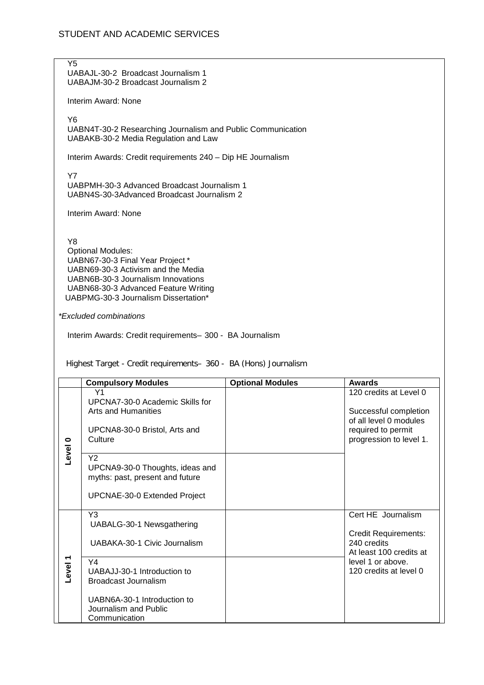Y5 UABAJL-30-2 Broadcast Journalism 1 UABAJM-30-2 Broadcast Journalism 2

Interim Award: None

Y6

UABN4T-30-2 Researching Journalism and Public Communication UABAKB-30-2 Media Regulation and Law

Interim Awards: Credit requirements 240 – Dip HE Journalism

Y7 UABPMH-30-3 Advanced Broadcast Journalism 1 UABN4S-30-3Advanced Broadcast Journalism 2

Interim Award: None

Y8

Optional Modules: UABN67-30-3 Final Year Project \* UABN69-30-3 Activism and the Media UABN6B-30-3 Journalism Innovations UABN68-30-3 Advanced Feature Writing UABPMG-30-3 Journalism Dissertation\*

*\*Excluded combinations*

Interim Awards: Credit requirements– 300 - BA Journalism

Highest Target - Credit requirements– 360 - BA (Hons) Journalism

|                               | <b>Compulsory Modules</b>                                                                                                          | <b>Optional Modules</b> | <b>Awards</b>                                                                                                              |
|-------------------------------|------------------------------------------------------------------------------------------------------------------------------------|-------------------------|----------------------------------------------------------------------------------------------------------------------------|
| $\bullet$                     | Y1<br>UPCNA7-30-0 Academic Skills for<br>Arts and Humanities<br>UPCNA8-30-0 Bristol, Arts and<br>Culture                           |                         | 120 credits at Level 0<br>Successful completion<br>of all level 0 modules<br>required to permit<br>progression to level 1. |
| Level                         | Y <sub>2</sub><br>UPCNA9-30-0 Thoughts, ideas and<br>myths: past, present and future<br><b>UPCNAE-30-0 Extended Project</b>        |                         |                                                                                                                            |
|                               | Y <sub>3</sub><br>UABALG-30-1 Newsgathering<br>UABAKA-30-1 Civic Journalism                                                        |                         | Cert HE Journalism<br><b>Credit Requirements:</b><br>240 credits<br>At least 100 credits at                                |
| $\blacktriangledown$<br>Level | Y4<br>UABAJJ-30-1 Introduction to<br>Broadcast Journalism<br>UABN6A-30-1 Introduction to<br>Journalism and Public<br>Communication |                         | level 1 or above.<br>120 credits at level 0                                                                                |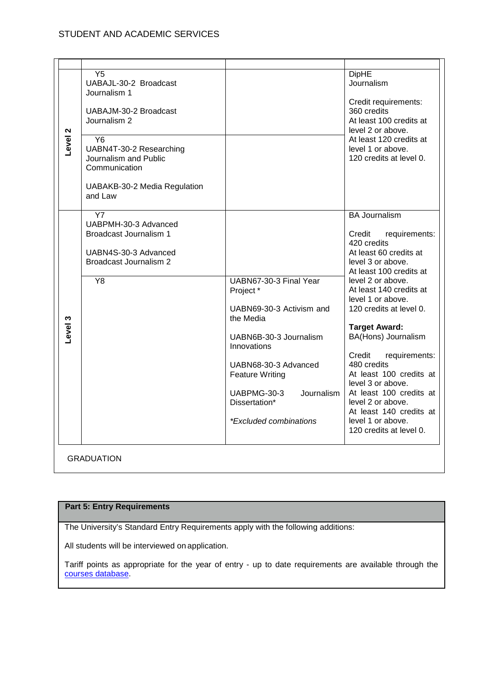| Level <sub>2</sub> | Y5<br>UABAJL-30-2 Broadcast<br>Journalism 1<br>UABAJM-30-2 Broadcast<br>Journalism 2<br>Y6<br>UABN4T-30-2 Researching<br>Journalism and Public<br>Communication<br>UABAKB-30-2 Media Regulation<br>and Law |                                                                                                                                                                                                                                                | <b>DipHE</b><br>Journalism<br>Credit requirements:<br>360 credits<br>At least 100 credits at<br>level 2 or above.<br>At least 120 credits at<br>level 1 or above.<br>120 credits at level 0.                                                                                                                                                                                                                                                                                                                 |
|--------------------|------------------------------------------------------------------------------------------------------------------------------------------------------------------------------------------------------------|------------------------------------------------------------------------------------------------------------------------------------------------------------------------------------------------------------------------------------------------|--------------------------------------------------------------------------------------------------------------------------------------------------------------------------------------------------------------------------------------------------------------------------------------------------------------------------------------------------------------------------------------------------------------------------------------------------------------------------------------------------------------|
| Level 3            | Y7<br>UABPMH-30-3 Advanced<br>Broadcast Journalism 1<br>UABN4S-30-3 Advanced<br>Broadcast Journalism 2<br>Y8                                                                                               | UABN67-30-3 Final Year<br>Project*<br>UABN69-30-3 Activism and<br>the Media<br>UABN6B-30-3 Journalism<br>Innovations<br>UABN68-30-3 Advanced<br><b>Feature Writing</b><br>UABPMG-30-3<br>Journalism<br>Dissertation*<br>*Excluded combinations | <b>BA Journalism</b><br>Credit<br>requirements:<br>420 credits<br>At least 60 credits at<br>level 3 or above.<br>At least 100 credits at<br>level 2 or above.<br>At least 140 credits at<br>level 1 or above.<br>120 credits at level 0.<br><b>Target Award:</b><br>BA(Hons) Journalism<br>requirements:<br>Credit<br>480 credits<br>At least 100 credits at<br>level 3 or above.<br>At least 100 credits at<br>level 2 or above.<br>At least 140 credits at<br>level 1 or above.<br>120 credits at level 0. |

## **Part 5: Entry Requirements**

The University's Standard Entry Requirements apply with the following additions:

All students will be interviewed on application.

Tariff points as appropriate for the year of entry - up to date requirements are available through the [courses database.](http://www1.uwe.ac.uk/whatcanistudy/courses)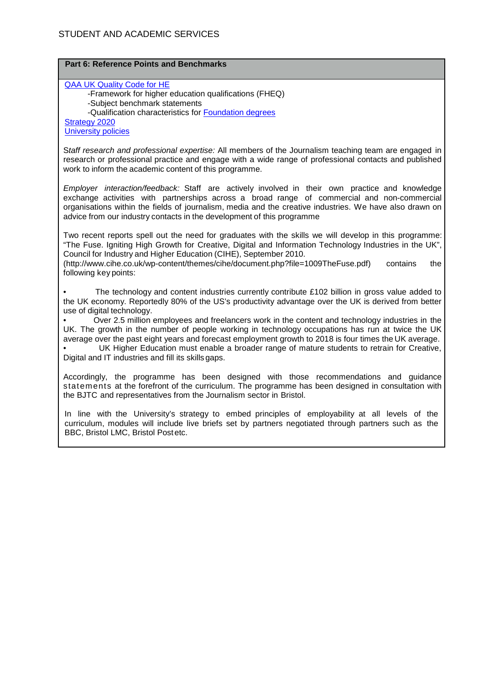| <b>Part 6: Reference Points and Benchmarks</b>                                                                                                                                                                                                                                                                                                                                                                                                                                                                                                                                                                                                                                                               |     |
|--------------------------------------------------------------------------------------------------------------------------------------------------------------------------------------------------------------------------------------------------------------------------------------------------------------------------------------------------------------------------------------------------------------------------------------------------------------------------------------------------------------------------------------------------------------------------------------------------------------------------------------------------------------------------------------------------------------|-----|
| <b>QAA UK Quality Code for HE</b><br>-Framework for higher education qualifications (FHEQ)<br>-Subject benchmark statements<br>-Qualification characteristics for Foundation degrees<br><b>Strategy 2020</b>                                                                                                                                                                                                                                                                                                                                                                                                                                                                                                 |     |
| <b>University policies</b>                                                                                                                                                                                                                                                                                                                                                                                                                                                                                                                                                                                                                                                                                   |     |
| Staff research and professional expertise: All members of the Journalism teaching team are engaged in<br>research or professional practice and engage with a wide range of professional contacts and published<br>work to inform the academic content of this programme.                                                                                                                                                                                                                                                                                                                                                                                                                                     |     |
| Employer interaction/feedback: Staff are actively involved in their own practice and knowledge<br>exchange activities with partnerships across a broad range of commercial and non-commercial<br>organisations within the fields of journalism, media and the creative industries. We have also drawn on<br>advice from our industry contacts in the development of this programme                                                                                                                                                                                                                                                                                                                           |     |
| Two recent reports spell out the need for graduates with the skills we will develop in this programme:<br>"The Fuse. Igniting High Growth for Creative, Digital and Information Technology Industries in the UK",<br>Council for Industry and Higher Education (CIHE), September 2010.<br>(http://www.cihe.co.uk/wp-content/themes/cihe/document.php?file=1009TheFuse.pdf)<br>contains<br>following key points:                                                                                                                                                                                                                                                                                              | the |
| The technology and content industries currently contribute £102 billion in gross value added to<br>the UK economy. Reportedly 80% of the US's productivity advantage over the UK is derived from better<br>use of digital technology.<br>Over 2.5 million employees and freelancers work in the content and technology industries in the<br>UK. The growth in the number of people working in technology occupations has run at twice the UK<br>average over the past eight years and forecast employment growth to 2018 is four times the UK average.<br>UK Higher Education must enable a broader range of mature students to retrain for Creative,<br>Digital and IT industries and fill its skills gaps. |     |
| Accordingly, the programme has been designed with those recommendations and guidance<br>statements at the forefront of the curriculum. The programme has been designed in consultation with<br>the BJTC and representatives from the Journalism sector in Bristol.                                                                                                                                                                                                                                                                                                                                                                                                                                           |     |
| In line with the University's strategy to embed principles of employability at all levels of the<br>curriculum, modules will include live briefs set by partners negotiated through partners such as the<br>BBC, Bristol LMC, Bristol Postetc.                                                                                                                                                                                                                                                                                                                                                                                                                                                               |     |